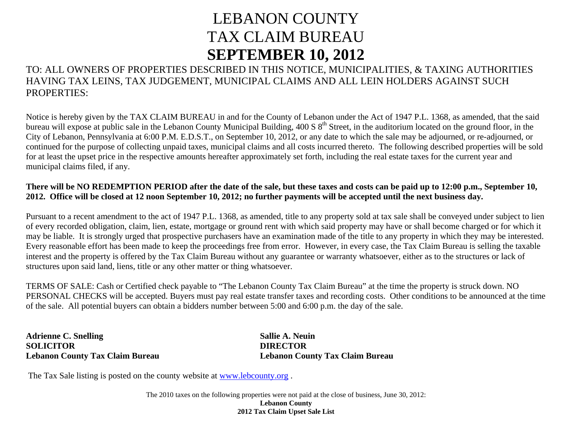## LEBANON COUNTY TAX CLAIM BUREAU **SEPTEMBER 10, 2012**

TO: ALL OWNERS OF PROPERTIES DESCRIBED IN THIS NOTICE, MUNICIPALITIES, & TAXING AUTHORITIES HAVING TAX LEINS, TAX JUDGEMENT, MUNICIPAL CLAIMS AND ALL LEIN HOLDERS AGAINST SUCH PROPERTIES:

Notice is hereby given by the TAX CLAIM BUREAU in and for the County of Lebanon under the Act of 1947 P.L. 1368, as amended, that the said bureau will expose at public sale in the Lebanon County Municipal Building,  $400 S 8<sup>th</sup>$  Street, in the auditorium located on the ground floor, in the City of Lebanon, Pennsylvania at 6:00 P.M. E.D.S.T., on September 10, 2012, or any date to which the sale may be adjourned, or re-adjourned, or continued for the purpose of collecting unpaid taxes, municipal claims and all costs incurred thereto. The following described properties will be sold for at least the upset price in the respective amounts hereafter approximately set forth, including the real estate taxes for the current year and municipal claims filed, if any.

## **There will be NO REDEMPTION PERIOD after the date of the sale, but these taxes and costs can be paid up to 12:00 p.m., September 10, 2012. Office will be closed at 12 noon September 10, 2012; no further payments will be accepted until the next business day.**

Pursuant to a recent amendment to the act of 1947 P.L. 1368, as amended, title to any property sold at tax sale shall be conveyed under subject to lien of every recorded obligation, claim, lien, estate, mortgage or ground rent with which said property may have or shall become charged or for which it may be liable. It is strongly urged that prospective purchasers have an examination made of the title to any property in which they may be interested. Every reasonable effort has been made to keep the proceedings free from error. However, in every case, the Tax Claim Bureau is selling the taxable interest and the property is offered by the Tax Claim Bureau without any guarantee or warranty whatsoever, either as to the structures or lack of structures upon said land, liens, title or any other matter or thing whatsoever.

TERMS OF SALE: Cash or Certified check payable to "The Lebanon County Tax Claim Bureau" at the time the property is struck down. NO PERSONAL CHECKS will be accepted. Buyers must pay real estate transfer taxes and recording costs. Other conditions to be announced at the time of the sale. All potential buyers can obtain a bidders number between 5:00 and 6:00 p.m. the day of the sale.

**Adrienne C. Snelling Sallie A. Neuin 1986 SOLICITOR DIRECTOR DIRECTOR** 

**Lebanon County Tax Claim Bureau Lebanon County Tax Claim Bureau** 

The Tax Sale listing is posted on the county website at [www.lebcounty.org](http://www.lebcounty.org/) .

The 2010 taxes on the following properties were not paid at the close of business, June 30, 2012: **Lebanon County 2012 Tax Claim Upset Sale List**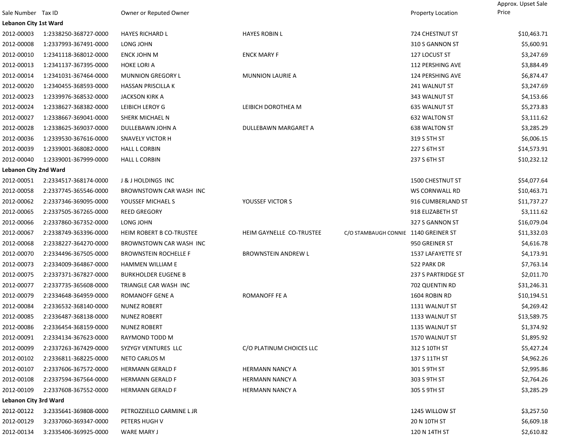|                              |                       |                              |                            |                                      | Approx. Upset Sale |
|------------------------------|-----------------------|------------------------------|----------------------------|--------------------------------------|--------------------|
| Sale Number Tax ID           |                       | Owner or Reputed Owner       |                            | Property Location                    | Price              |
| <b>Lebanon City 1st Ward</b> |                       |                              |                            |                                      |                    |
| 2012-00003                   | 1:2338250-368727-0000 | <b>HAYES RICHARD L</b>       | <b>HAYES ROBIN L</b>       | 724 CHESTNUT ST                      | \$10,463.71        |
| 2012-00008                   | 1:2337993-367491-0000 | LONG JOHN                    |                            | 310 S GANNON ST                      | \$5,600.91         |
| 2012-00010                   | 1:2341118-368012-0000 | ENCK JOHN M                  | <b>ENCK MARY F</b>         | 127 LOCUST ST                        | \$3,247.69         |
| 2012-00013                   | 1:2341137-367395-0000 | <b>HOKE LORI A</b>           |                            | 112 PERSHING AVE                     | \$3,884.49         |
| 2012-00014                   | 1:2341031-367464-0000 | <b>MUNNION GREGORY L</b>     | <b>MUNNION LAURIE A</b>    | 124 PERSHING AVE                     | \$6,874.47         |
| 2012-00020                   | 1:2340455-368593-0000 | HASSAN PRISCILLA K           |                            | 241 WALNUT ST                        | \$3,247.69         |
| 2012-00023                   | 1:2339976-368532-0000 | JACKSON KIRK A               |                            | 343 WALNUT ST                        | \$4,153.66         |
| 2012-00024                   | 1:2338627-368382-0000 | LEIBICH LEROY G              | LEIBICH DOROTHEA M         | 635 WALNUT ST                        | \$5,273.83         |
| 2012-00027                   | 1:2338667-369041-0000 | SHERK MICHAEL N              |                            | 632 WALTON ST                        | \$3,111.62         |
| 2012-00028                   | 1:2338625-369037-0000 | DULLEBAWN JOHN A             | DULLEBAWN MARGARET A       | <b>638 WALTON ST</b>                 | \$3,285.29         |
| 2012-00036                   | 1:2339530-367616-0000 | <b>SNAVELY VICTOR H</b>      |                            | 319 S 5TH ST                         | \$6,006.15         |
| 2012-00039                   | 1:2339001-368082-0000 | <b>HALL L CORBIN</b>         |                            | 227 S 6TH ST                         | \$14,573.91        |
| 2012-00040                   | 1:2339001-367999-0000 | <b>HALL L CORBIN</b>         |                            | 237 S 6TH ST                         | \$10,232.12        |
| <b>Lebanon City 2nd Ward</b> |                       |                              |                            |                                      |                    |
| 2012-00051                   | 2:2334517-368174-0000 | J & J HOLDINGS INC           |                            | 1500 CHESTNUT ST                     | \$54,077.64        |
| 2012-00058                   | 2:2337745-365546-0000 | BROWNSTOWN CAR WASH INC      |                            | WS CORNWALL RD                       | \$10,463.71        |
| 2012-00062                   | 2:2337346-369095-0000 | YOUSSEF MICHAEL S            | YOUSSEF VICTOR S           | 916 CUMBERLAND ST                    | \$11,737.27        |
| 2012-00065                   | 2:2337505-367265-0000 | <b>REED GREGORY</b>          |                            | 918 ELIZABETH ST                     | \$3,111.62         |
| 2012-00066                   | 2:2337860-367352-0000 | LONG JOHN                    |                            | 327 S GANNON ST                      | \$16,079.04        |
| 2012-00067                   | 2:2338749-363396-0000 | HEIM ROBERT B CO-TRUSTEE     | HEIM GAYNELLE CO-TRUSTEE   | C/O STAMBAUGH CONNIE 1140 GREINER ST | \$11,332.03        |
| 2012-00068                   | 2:2338227-364270-0000 | BROWNSTOWN CAR WASH INC      |                            | 950 GREINER ST                       | \$4,616.78         |
| 2012-00070                   | 2:2334496-367505-0000 | <b>BROWNSTEIN ROCHELLE F</b> | <b>BROWNSTEIN ANDREW L</b> | 1537 LAFAYETTE ST                    | \$4,173.91         |
| 2012-00073                   | 2:2334009-364867-0000 | <b>HAMMEN WILLIAM E</b>      |                            | 522 PARK DR                          | \$7,763.14         |
| 2012-00075                   | 2:2337371-367827-0000 | <b>BURKHOLDER EUGENE B</b>   |                            | 237 S PARTRIDGE ST                   | \$2,011.70         |
| 2012-00077                   | 2:2337735-365608-0000 | TRIANGLE CAR WASH INC        |                            | 702 QUENTIN RD                       | \$31,246.31        |
| 2012-00079                   | 2:2334648-364959-0000 | ROMANOFF GENE A              | ROMANOFF FE A              | 1604 ROBIN RD                        | \$10,194.51        |
| 2012-00084                   | 2:2336532-368140-0000 | <b>NUNEZ ROBERT</b>          |                            | 1131 WALNUT ST                       | \$4,269.42         |
| 2012-00085                   | 2:2336487-368138-0000 | <b>NUNEZ ROBERT</b>          |                            | 1133 WALNUT ST                       | \$13,589.75        |
| 2012-00086                   | 2:2336454-368159-0000 | <b>NUNEZ ROBERT</b>          |                            | 1135 WALNUT ST                       | \$1,374.92         |
| 2012-00091                   | 2:2334134-367623-0000 | RAYMOND TODD M               |                            | 1570 WALNUT ST                       | \$1,895.92         |
| 2012-00099                   | 2:2337263-367429-0000 | SYZYGY VENTURES LLC          | C/O PLATINUM CHOICES LLC   | 312 S 10TH ST                        | \$5,427.24         |
| 2012-00102                   | 2:2336811-368225-0000 | NETO CARLOS M                |                            | 137 S 11TH ST                        | \$4,962.26         |
| 2012-00107                   | 2:2337606-367572-0000 | <b>HERMANN GERALD F</b>      | <b>HERMANN NANCY A</b>     | 301 S 9TH ST                         | \$2,995.86         |
| 2012-00108                   | 2:2337594-367564-0000 | <b>HERMANN GERALD F</b>      | HERMANN NANCY A            | 303 S 9TH ST                         | \$2,764.26         |
| 2012-00109                   | 2:2337608-367552-0000 | <b>HERMANN GERALD F</b>      | <b>HERMANN NANCY A</b>     | 305 S 9TH ST                         | \$3,285.29         |
| <b>Lebanon City 3rd Ward</b> |                       |                              |                            |                                      |                    |
| 2012-00122                   | 3:2335641-369808-0000 | PETROZZIELLO CARMINE L JR    |                            | 1245 WILLOW ST                       | \$3,257.50         |
| 2012-00129                   | 3:2337060-369347-0000 | PETERS HUGH V                |                            | 20 N 10TH ST                         | \$6,609.18         |
| 2012-00134                   | 3:2335406-369925-0000 | <b>WARE MARY J</b>           |                            | 120 N 14TH ST                        | \$2,610.82         |
|                              |                       |                              |                            |                                      |                    |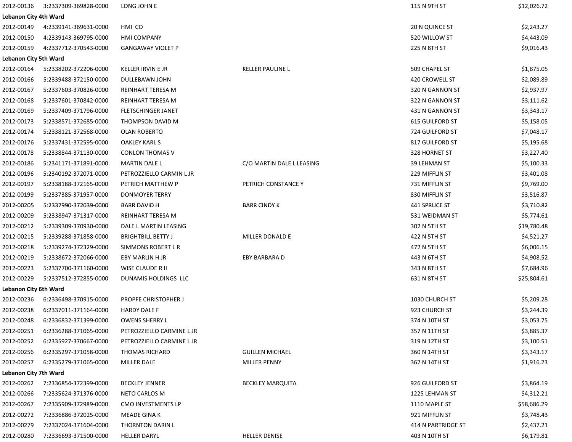| 2012-00136                   | 3:2337309-369828-0000 | LONG JOHN E                 |                           | 115 N 9TH ST           | \$12,026.72 |
|------------------------------|-----------------------|-----------------------------|---------------------------|------------------------|-------------|
| <b>Lebanon City 4th Ward</b> |                       |                             |                           |                        |             |
| 2012-00149                   | 4:2339141-369631-0000 | HMI CO                      |                           | <b>20 N QUINCE ST</b>  | \$2,243.27  |
| 2012-00150                   | 4:2339143-369795-0000 | <b>HMI COMPANY</b>          |                           | 520 WILLOW ST          | \$4,443.09  |
| 2012-00159                   | 4:2337712-370543-0000 | <b>GANGAWAY VIOLET P</b>    |                           | 225 N 8TH ST           | \$9,016.43  |
| <b>Lebanon City 5th Ward</b> |                       |                             |                           |                        |             |
| 2012-00164                   | 5:2338202-372206-0000 | KELLER IRVIN E JR           | <b>KELLER PAULINE L</b>   | 509 CHAPEL ST          | \$1,875.05  |
| 2012-00166                   | 5:2339488-372150-0000 | DULLEBAWN JOHN              |                           | 420 CROWELL ST         | \$2,089.89  |
| 2012-00167                   | 5:2337603-370826-0000 | REINHART TERESA M           |                           | 320 N GANNON ST        | \$2,937.97  |
| 2012-00168                   | 5:2337601-370842-0000 | REINHART TERESA M           |                           | 322 N GANNON ST        | \$3,111.62  |
| 2012-00169                   | 5:2337409-371796-0000 | <b>FLETSCHINGER JANET</b>   |                           | 431 N GANNON ST        | \$3,343.17  |
| 2012-00173                   | 5:2338571-372685-0000 | THOMPSON DAVID M            |                           | <b>615 GUILFORD ST</b> | \$5,158.05  |
| 2012-00174                   | 5:2338121-372568-0000 | OLAN ROBERTO                |                           | 724 GUILFORD ST        | \$7,048.17  |
| 2012-00176                   | 5:2337431-372595-0000 | OAKLEY KARL S               |                           | 817 GUILFORD ST        | \$5,195.68  |
| 2012-00178                   | 5:2338844-371130-0000 | <b>CONLON THOMAS V</b>      |                           | 328 HORNET ST          | \$3,227.40  |
| 2012-00186                   | 5:2341171-371891-0000 | MARTIN DALE L               | C/O MARTIN DALE L LEASING | 39 LEHMAN ST           | \$5,100.33  |
| 2012-00196                   | 5:2340192-372071-0000 | PETROZZIELLO CARMIN L JR    |                           | 229 MIFFLIN ST         | \$3,401.08  |
| 2012-00197                   | 5:2338188-372165-0000 | PETRICH MATTHEW P           | PETRICH CONSTANCE Y       | 731 MIFFLIN ST         | \$9,769.00  |
| 2012-00199                   | 5:2337385-371957-0000 | DONMOYER TERRY              |                           | 830 MIFFLIN ST         | \$3,516.87  |
| 2012-00205                   | 5:2337990-372039-0000 | <b>BARR DAVID H</b>         | <b>BARR CINDY K</b>       | 441 SPRUCE ST          | \$3,710.82  |
| 2012-00209                   | 5:2338947-371317-0000 | REINHART TERESA M           |                           | 531 WEIDMAN ST         | \$5,774.61  |
| 2012-00212                   | 5:2339309-370930-0000 | DALE L MARTIN LEASING       |                           | 302 N 5TH ST           | \$19,780.48 |
| 2012-00215                   | 5:2339288-371858-0000 | <b>BRIGHTBILL BETTY J</b>   | MILLER DONALD E           | 422 N 5TH ST           | \$4,521.27  |
| 2012-00218                   | 5:2339274-372329-0000 | SIMMONS ROBERT L R          |                           | 472 N 5TH ST           | \$6,006.15  |
| 2012-00219                   | 5:2338672-372066-0000 | EBY MARLIN H JR             | EBY BARBARA D             | 443 N 6TH ST           | \$4,908.52  |
| 2012-00223                   | 5:2337700-371160-0000 | WISE CLAUDE R II            |                           | 343 N 8TH ST           | \$7,684.96  |
| 2012-00229                   | 5:2337512-372855-0000 | DUNAMIS HOLDINGS LLC        |                           | 631 N 8TH ST           | \$25,804.61 |
| Lebanon City 6th Ward        |                       |                             |                           |                        |             |
| 2012-00236                   | 6:2336498-370915-0000 | <b>PROPFE CHRISTOPHER J</b> |                           | 1030 CHURCH ST         | \$5,209.28  |
| 2012-00238                   | 6:2337011-371164-0000 | <b>HARDY DALE F</b>         |                           | 923 CHURCH ST          | \$3,244.39  |
| 2012-00248                   | 6:2336832-371399-0000 | <b>OWENS SHERRY L</b>       |                           | 374 N 10TH ST          | \$3,053.75  |
| 2012-00251                   | 6:2336288-371065-0000 | PETROZZIELLO CARMINE L JR   |                           | 357 N 11TH ST          | \$3,885.37  |
| 2012-00252                   | 6:2335927-370667-0000 | PETROZZIELLO CARMINE L JR   |                           | 319 N 12TH ST          | \$3,100.51  |
| 2012-00256                   | 6:2335297-371058-0000 | <b>THOMAS RICHARD</b>       | <b>GUILLEN MICHAEL</b>    | 360 N 14TH ST          | \$3,343.17  |
| 2012-00257                   | 6:2335279-371065-0000 | MILLER DALE                 | MILLER PENNY              | 362 N 14TH ST          | \$1,916.23  |
| <b>Lebanon City 7th Ward</b> |                       |                             |                           |                        |             |
| 2012-00262                   | 7:2336854-372399-0000 | <b>BECKLEY JENNER</b>       | <b>BECKLEY MARQUITA</b>   | 926 GUILFORD ST        | \$3,864.19  |
| 2012-00266                   | 7:2335624-371376-0000 | NETO CARLOS M               |                           | 1225 LEHMAN ST         | \$4,312.21  |
| 2012-00267                   | 7:2335909-372989-0000 | CMO INVESTMENTS LP          |                           | 1110 MAPLE ST          | \$58,686.29 |
| 2012-00272                   | 7:2336886-372025-0000 | MEADE GINA K                |                           | 921 MIFFLIN ST         | \$3,748.43  |
| 2012-00279                   | 7:2337024-371604-0000 | THORNTON DARIN L            |                           | 414 N PARTRIDGE ST     | \$2,437.21  |
| 2012-00280                   | 7:2336693-371500-0000 | <b>HELLER DARYL</b>         | <b>HELLER DENISE</b>      | 403 N 10TH ST          | \$6,179.81  |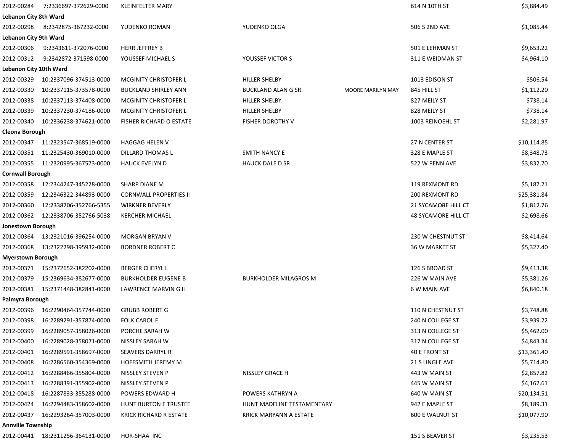| 2012-00284                   | 7:2336697-372629-0000              | <b>KLEINFELTER MARY</b>       |                                         | 614 N 10TH ST              | \$3,884.49  |
|------------------------------|------------------------------------|-------------------------------|-----------------------------------------|----------------------------|-------------|
| <b>Lebanon City 8th Ward</b> |                                    |                               |                                         |                            |             |
| 2012-00298                   | 8:2342875-367232-0000              | YUDENKO ROMAN                 | YUDENKO OLGA                            | 506 S 2ND AVE              | \$1,085.44  |
| <b>Lebanon City 9th Ward</b> |                                    |                               |                                         |                            |             |
| 2012-00306                   | 9:2343611-372076-0000              | <b>HERR JEFFREY B</b>         |                                         | 501 E LEHMAN ST            | \$9,653.22  |
| 2012-00312                   | 9:2342872-371598-0000              | YOUSSEF MICHAEL S             | YOUSSEF VICTOR S                        | 311 E WEIDMAN ST           | \$4,964.10  |
| Lebanon City 10th Ward       |                                    |                               |                                         |                            |             |
| 2012-00329                   | 10:2337096-374513-0000             | <b>MCGINITY CHRISTOFER L</b>  | HILLER SHELBY                           | 1013 EDISON ST             | \$506.54    |
| 2012-00330                   | 10:2337115-373578-0000             | <b>BUCKLAND SHIRLEY ANN</b>   | BUCKLAND ALAN G SR<br>MOORE MARILYN MAY | 845 HILL ST                | \$1,112.20  |
| 2012-00338                   | 10:2337113-374408-0000             | <b>MCGINITY CHRISTOFER L</b>  | <b>HILLER SHELBY</b>                    | 827 MEILY ST               | \$738.14    |
| 2012-00339                   | 10:2337230-374186-0000             | MCGINITY CHRISTOFER L         | HILLER SHELBY                           | 828 MEILY ST               | \$738.14    |
| 2012-00340                   | 10:2336238-374621-0000             | FISHER RICHARD O ESTATE       | FISHER DOROTHY V                        | 1003 REINOEHL ST           | \$2,281.97  |
| <b>Cleona Borough</b>        |                                    |                               |                                         |                            |             |
| 2012-00347                   | 11:2323547-368519-0000             | HAGGAG HELEN V                |                                         | 27 N CENTER ST             | \$10,114.85 |
| 2012-00351                   | 11:2325430-369010-0000             | DILLARD THOMAS L              | SMITH NANCY E                           | 328 E MAPLE ST             | \$8,348.73  |
|                              | 2012-00355 11:2320995-367573-0000  | <b>HAUCK EVELYN D</b>         | <b>HAUCK DALE D SR</b>                  | 522 W PENN AVE             | \$3,832.70  |
| <b>Cornwall Borough</b>      |                                    |                               |                                         |                            |             |
| 2012-00358                   | 12:2344247-345228-0000             | SHARP DIANE M                 |                                         | 119 REXMONT RD             | \$5,187.21  |
| 2012-00359                   | 12:2346322-344893-0000             | <b>CORNWALL PROPERTIES II</b> |                                         | 200 REXMONT RD             | \$25,381.84 |
| 2012-00360                   | 12:2338706-352766-5355             | <b>WIRKNER BEVERLY</b>        |                                         | <b>21 SYCAMORE HILL CT</b> | \$1,812.76  |
| 2012-00362                   | 12:2338706-352766-5038             | <b>KERCHER MICHAEL</b>        |                                         | 48 SYCAMORE HILL CT        | \$2,698.66  |
| Jonestown Borough            |                                    |                               |                                         |                            |             |
| 2012-00364                   | 13:2321016-396254-0000             | MORGAN BRYAN V                |                                         | 230 W CHESTNUT ST          | \$8,414.64  |
| 2012-00368                   | 13:2322298-395932-0000             | <b>BORDNER ROBERT C</b>       |                                         | 36 W MARKET ST             | \$5,327.40  |
| <b>Myerstown Borough</b>     |                                    |                               |                                         |                            |             |
|                              | 2012-00371 15:2372652-382202-0000  | <b>BERGER CHERYL L</b>        |                                         | 126 S BROAD ST             | \$9,413.38  |
| 2012-00379                   | 15:2369634-382677-0000             | <b>BURKHOLDER EUGENE B</b>    | <b>BURKHOLDER MILAGROS M</b>            | 226 W MAIN AVE             | \$5,381.26  |
|                              | 2012-00381  15:2371448-382841-0000 | LAWRENCE MARVIN G II          |                                         | 6 W MAIN AVE               | \$6,840.18  |
| Palmyra Borough              |                                    |                               |                                         |                            |             |
| 2012-00396                   | 16:2290464-357744-0000             | <b>GRUBB ROBERT G</b>         |                                         | 110 N CHESTNUT ST          | \$3,748.88  |
| 2012-00398                   | 16:2289291-357874-0000             | FOLK CAROL F                  |                                         | 240 N COLLEGE ST           | \$3,939.22  |
| 2012-00399                   | 16:2289057-358026-0000             | PORCHE SARAH W                |                                         | 313 N COLLEGE ST           | \$5,462.00  |
| 2012-00400                   | 16:2289028-358071-0000             | NISSLEY SARAH W               |                                         | 317 N COLLEGE ST           | \$4,843.34  |
| 2012-00401                   | 16:2289591-358697-0000             | <b>SEAVERS DARRYL R</b>       |                                         | 40 E FRONT ST              | \$13,361.40 |
| 2012-00408                   | 16:2286560-354369-0000             | <b>HOFFSMITH JEREMY M</b>     |                                         | 21 S LINGLE AVE            | \$5,714.80  |
| 2012-00412                   | 16:2288466-355804-0000             | NISSLEY STEVEN P              | NISSLEY GRACE H                         | 443 W MAIN ST              | \$2,857.82  |
| 2012-00413                   | 16:2288391-355902-0000             | NISSLEY STEVEN P              |                                         | 445 W MAIN ST              | \$4,162.61  |
| 2012-00418                   | 16:2287833-355288-0000             | POWERS EDWARD H               | POWERS KATHRYN A                        | 640 W MAIN ST              | \$20,134.51 |
| 2012-00424                   | 16:2294483-358602-0000             | HUNT BURTON E TRUSTEE         | HUNT MADELINE TESTAMENTARY              | 942 E MAPLE ST             | \$8,189.31  |
| 2012-00437                   | 16:2293264-357003-0000             | KRICK RICHARD R ESTATE        | KRICK MARYANN A ESTATE                  | <b>600 E WALNUT ST</b>     | \$10,077.90 |
| <b>Annville Township</b>     |                                    |                               |                                         |                            |             |
|                              | 2012-00441  18:2311256-364131-0000 | HOR-SHAA INC                  |                                         | 151 S BEAVER ST            | \$3,235.53  |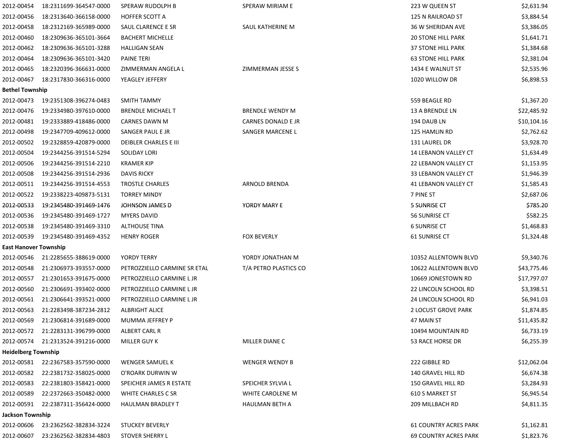| 2012-00454                   | 18:2311699-364547-0000            | SPERAW RUDOLPH B             | SPERAW MIRIAM E        | 223 W QUEEN ST               | \$2,631.94  |
|------------------------------|-----------------------------------|------------------------------|------------------------|------------------------------|-------------|
| 2012-00456                   | 18:2313640-366158-0000            | <b>HOFFER SCOTT A</b>        |                        | 125 N RAILROAD ST            | \$3,884.54  |
| 2012-00458                   | 18:2312169-365989-0000            | SAUL CLARENCE E SR           | SAUL KATHERINE M       | 36 W SHERIDAN AVE            | \$3,386.05  |
| 2012-00460                   | 18:2309636-365101-3664            | <b>BACHERT MICHELLE</b>      |                        | <b>20 STONE HILL PARK</b>    | \$1,641.71  |
| 2012-00462                   | 18:2309636-365101-3288            | <b>HALLIGAN SEAN</b>         |                        | 37 STONE HILL PARK           | \$1,384.68  |
| 2012-00464                   | 18:2309636-365101-3420            | <b>PAINE TERI</b>            |                        | <b>63 STONE HILL PARK</b>    | \$2,381.04  |
| 2012-00465                   | 18:2320396-366631-0000            | ZIMMERMAN ANGELA L           | ZIMMERMAN JESSE S      | 1434 E WALNUT ST             | \$2,535.96  |
| 2012-00467                   | 18:2317830-366316-0000            | YEAGLEY JEFFERY              |                        | 1020 WILLOW DR               | \$6,898.53  |
| <b>Bethel Township</b>       |                                   |                              |                        |                              |             |
| 2012-00473                   | 19:2351308-396274-0483            | SMITH TAMMY                  |                        | 559 BEAGLE RD                | \$1,367.20  |
| 2012-00476                   | 19:2334980-397610-0000            | <b>BRENDLE MICHAEL T</b>     | <b>BRENDLE WENDY M</b> | 13 A BRENDLE LN              | \$22,485.92 |
| 2012-00481                   | 19:2333889-418486-0000            | CARNES DAWN M                | CARNES DONALD E JR     | 194 DAUB LN                  | \$10,104.16 |
| 2012-00498                   | 19:2347709-409612-0000            | SANGER PAUL E JR             | SANGER MARCENE L       | 125 HAMLIN RD                | \$2,762.62  |
| 2012-00502                   | 19:2328859-420879-0000            | DEIBLER CHARLES E III        |                        | 131 LAUREL DR                | \$3,928.70  |
| 2012-00504                   | 19:2344256-391514-5294            | SOLIDAY LORI                 |                        | <b>14 LEBANON VALLEY CT</b>  | \$1,634.49  |
| 2012-00506                   | 19:2344256-391514-2210            | <b>KRAMER KIP</b>            |                        | 22 LEBANON VALLEY CT         | \$1,153.95  |
| 2012-00508                   | 19:2344256-391514-2936            | <b>DAVIS RICKY</b>           |                        | 33 LEBANON VALLEY CT         | \$1,946.39  |
| 2012-00511                   | 19:2344256-391514-4553            | <b>TROSTLE CHARLES</b>       | <b>ARNOLD BRENDA</b>   | 41 LEBANON VALLEY CT         | \$1,585.43  |
| 2012-00522                   | 19:2338223-409873-5131            | <b>TORREY MINDY</b>          |                        | 7 PINE ST                    | \$2,687.06  |
| 2012-00533                   | 19:2345480-391469-1476            | JOHNSON JAMES D              | YORDY MARY E           | 5 SUNRISE CT                 | \$785.20    |
| 2012-00536                   | 19:2345480-391469-1727            | <b>MYERS DAVID</b>           |                        | 56 SUNRISE CT                | \$582.25    |
| 2012-00538                   | 19:2345480-391469-3310            | ALTHOUSE TINA                |                        | <b>6 SUNRISE CT</b>          | \$1,468.83  |
| 2012-00539                   | 19:2345480-391469-4352            | <b>HENRY ROGER</b>           | <b>FOX BEVERLY</b>     | 61 SUNRISE CT                | \$1,324.48  |
| <b>East Hanover Township</b> |                                   |                              |                        |                              |             |
| 2012-00546                   | 21:2285655-388619-0000            | YORDY TERRY                  | YORDY JONATHAN M       | 10352 ALLENTOWN BLVD         | \$9,340.76  |
| 2012-00548                   | 21:2306973-393557-0000            | PETROZZIELLO CARMINE SR ETAL | T/A PETRO PLASTICS CO  | 10622 ALLENTOWN BLVD         | \$43,775.46 |
| 2012-00557                   | 21:2301653-391675-0000            | PETROZZIELLO CARMINE L JR    |                        | 10669 JONESTOWN RD           | \$17,797.07 |
| 2012-00560                   | 21:2306691-393402-0000            | PETROZZIELLO CARMINE L JR    |                        | 22 LINCOLN SCHOOL RD         | \$3,398.51  |
| 2012-00561                   | 21:2306641-393521-0000            | PETROZZIELLO CARMINE L JR    |                        | 24 LINCOLN SCHOOL RD         | \$6,941.03  |
| 2012-00563                   | 21:2283498-387234-2812            | <b>ALBRIGHT ALICE</b>        |                        | 2 LOCUST GROVE PARK          | \$1,874.85  |
| 2012-00569                   | 21:2306814-391689-0000            | MUMMA JEFFREY P              |                        | 47 MAIN ST                   | \$11,435.82 |
| 2012-00572                   | 21:2283131-396799-0000            | ALBERT CARL R                |                        | 10494 MOUNTAIN RD            | \$6,733.19  |
| 2012-00574                   | 21:2313524-391216-0000            | <b>MILLER GUY K</b>          | MILLER DIANE C         | 53 RACE HORSE DR             | \$6,255.39  |
| <b>Heidelberg Township</b>   |                                   |                              |                        |                              |             |
|                              | 2012-00581 22:2367583-357590-0000 | WENGER SAMUEL K              | <b>WENGER WENDY B</b>  | 222 GIBBLE RD                | \$12,062.04 |
| 2012-00582                   | 22:2381732-358025-0000            | O'ROARK DURWIN W             |                        | 140 GRAVEL HILL RD           | \$6,674.38  |
| 2012-00583                   | 22:2381803-358421-0000            | SPEICHER JAMES R ESTATE      | SPEICHER SYLVIA L      | 150 GRAVEL HILL RD           | \$3,284.93  |
| 2012-00589                   | 22:2372663-350482-0000            | WHITE CHARLES C SR           | WHITE CAROLENE M       | 610 S MARKET ST              | \$6,945.54  |
| 2012-00591                   | 22:2387311-356424-0000            | <b>HAULMAN BRADLEY T</b>     | HAULMAN BETH A         | 209 MILLBACH RD              | \$4,811.35  |
| Jackson Township             |                                   |                              |                        |                              |             |
| 2012-00606                   | 23:2362562-382834-3224            | <b>STUCKEY BEVERLY</b>       |                        | <b>61 COUNTRY ACRES PARK</b> | \$1,162.81  |
| 2012-00607                   | 23:2362562-382834-4803            | <b>STOVER SHERRY L</b>       |                        | <b>69 COUNTRY ACRES PARK</b> | \$1,823.76  |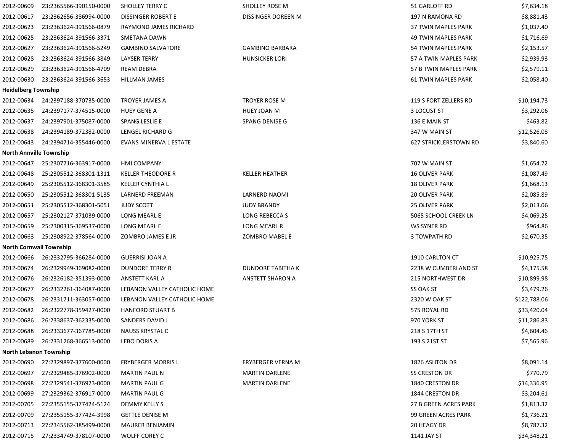| 2012-00609                     | 23:2365566-390150-0000 | <b>SHOLLEY TERRY C</b>       | <b>SHOLLEY ROSE M</b>  | 51 GARLOFF RD                | \$7,634.18   |
|--------------------------------|------------------------|------------------------------|------------------------|------------------------------|--------------|
| 2012-00617                     | 23:2362656-386994-0000 | DISSINGER ROBERT E           | DISSINGER DOREEN M     | 197 N RAMONA RD              | \$8,881.43   |
| 2012-00623                     | 23:2363624-391566-0879 | RAYMOND JAMES RICHARD        |                        | 37 TWIN MAPLES PARK          | \$1,037.40   |
| 2012-00625                     | 23:2363624-391566-3371 | SMETANA DAWN                 |                        | 49 TWIN MAPLES PARK          | \$1,716.69   |
| 2012-00627                     | 23:2363624-391566-5249 | <b>GAMBINO SALVATORE</b>     | <b>GAMBINO BARBARA</b> | 54 TWIN MAPLES PARK          | \$2,153.57   |
| 2012-00628                     | 23:2363624-391566-3849 | <b>LAYSER TERRY</b>          | <b>HUNSICKER LORI</b>  | 57 A TWIN MAPLES PARK        | \$2,939.93   |
| 2012-00629                     | 23:2363624-391566-4709 | REAM DEBRA                   |                        | 57 B TWIN MAPLES PARK        | \$2,579.11   |
| 2012-00630                     | 23:2363624-391566-3653 | HILLMAN JAMES                |                        | 61 TWIN MAPLES PARK          | \$2,058.40   |
| <b>Heidelberg Township</b>     |                        |                              |                        |                              |              |
| 2012-00634                     | 24:2397188-370735-0000 | TROYER JAMES A               | TROYER ROSE M          | 119 S FORT ZELLERS RD        | \$10,194.73  |
| 2012-00635                     | 24:2397177-374515-0000 | <b>HUEY GENE A</b>           | <b>HUEY JOAN M</b>     | 3 LOCUST ST                  | \$3,292.06   |
| 2012-00637                     | 24:2397901-375087-0000 | SPANG LESLIE E               | SPANG DENISE G         | 136 E MAIN ST                | \$463.82     |
| 2012-00638                     | 24:2394189-372382-0000 | LENGEL RICHARD G             |                        | 347 W MAIN ST                | \$12,526.08  |
| 2012-00643                     | 24:2394714-355446-0000 | EVANS MINERVA L ESTATE       |                        | <b>627 STRICKLERSTOWN RD</b> | \$3,840.60   |
| <b>North Annville Township</b> |                        |                              |                        |                              |              |
| 2012-00647                     | 25:2307716-363917-0000 | <b>HMI COMPANY</b>           |                        | 707 W MAIN ST                | \$1,654.72   |
| 2012-00648                     | 25:2305512-368301-1311 | <b>KELLER THEODORE R</b>     | <b>KELLER HEATHER</b>  | <b>16 OLIVER PARK</b>        | \$1,087.49   |
| 2012-00649                     | 25:2305512-368301-3585 | <b>KELLER CYNTHIA L</b>      |                        | <b>18 OLIVER PARK</b>        | \$1,668.13   |
| 2012-00650                     | 25:2305512-368301-5135 | LARNERD FREEMAN              | LARNERD NAOMI          | <b>20 OLIVER PARK</b>        | \$2,085.89   |
| 2012-00651                     | 25:2305512-368301-5051 | <b>JUDY SCOTT</b>            | <b>JUDY BRANDY</b>     | <b>25 OLIVER PARK</b>        | \$2,013.06   |
| 2012-00657                     | 25:2302127-371039-0000 | LONG MEARL E                 | LONG REBECCA S         | 5065 SCHOOL CREEK LN         | \$4,069.25   |
| 2012-00659                     | 25:2300315-369537-0000 | LONG MEARL E                 | LONG MEARL R           | WS SYNER RD                  | \$964.86     |
| 2012-00663                     | 25:2308922-378564-0000 | ZOMBRO JAMES E JR            | ZOMBRO MABEL E         | 3 TOWPATH RD                 | \$2,670.35   |
| <b>North Cornwall Township</b> |                        |                              |                        |                              |              |
| 2012-00666                     | 26:2332795-366284-0000 | <b>GUERRISI JOAN A</b>       |                        | 1910 CARLTON CT              | \$10,925.75  |
| 2012-00674                     | 26:2329949-369082-0000 | DUNDORE TERRY R              | DUNDORE TABITHA K      | 2238 W CUMBERLAND ST         | \$4,175.58   |
| 2012-00676                     | 26:2326182-351393-0000 | ANSTETT KARL A               | ANSTETT SHARON A       | 215 NORTHWEST DR             | \$10,899.98  |
| 2012-00677                     | 26:2332261-364087-0000 | LEBANON VALLEY CATHOLIC HOME |                        | <b>SS OAK ST</b>             | \$3,479.26   |
| 2012-00678                     | 26:2331711-363057-0000 | LEBANON VALLEY CATHOLIC HOME |                        | 2320 W OAK ST                | \$122,788.06 |
| 2012-00682                     | 26:2322778-359427-0000 | <b>HANFORD STUART B</b>      |                        | 575 ROYAL RD                 | \$33,420.04  |
| 2012-00686                     | 26:2338637-362335-0000 | SANDERS DAVID J              |                        | 970 YORK ST                  | \$11,286.83  |
| 2012-00688                     | 26:2333677-367785-0000 | NAUSS KRYSTAL C              |                        | 218 S 17TH ST                | \$4,604.46   |
| 2012-00689                     | 26:2331268-366513-0000 | LEBO DORIS A                 |                        | 193 S 21ST ST                | \$7,565.96   |
| North Lebanon Township         |                        |                              |                        |                              |              |
| 2012-00690                     | 27:2329897-377600-0000 | <b>FRYBERGER MORRIS L</b>    | FRYBERGER VERNA M      | 1826 ASHTON DR               | \$8,091.14   |
| 2012-00697                     | 27:2329485-376902-0000 | <b>MARTIN PAUL N</b>         | <b>MARTIN DARLENE</b>  | SS CRESTON DR                | \$770.79     |
| 2012-00698                     | 27:2329541-376923-0000 | <b>MARTIN PAUL G</b>         | <b>MARTIN DARLENE</b>  | 1840 CRESTON DR              | \$14,336.95  |
| 2012-00699                     | 27:2329362-376917-0000 | <b>MARTIN PAUL G</b>         |                        | 1844 CRESTON DR              | \$3,204.61   |
| 2012-00705                     | 27:2355155-377424-5124 | DEMMY KELLY S                |                        | 27 B GREEN ACRES PARK        | \$1,813.32   |
| 2012-00709                     | 27:2355155-377424-3998 | <b>GETTLE DENISE M</b>       |                        | 99 GREEN ACRES PARK          | \$1,736.21   |
| 2012-00713                     | 27:2345562-385499-0000 | <b>MAURER BENJAMIN</b>       |                        | 20 HEAGY DR                  | \$8,787.32   |
| 2012-00715                     | 27:2334749-378107-0000 | <b>WOLFF COREY C</b>         |                        | 1141 JAY ST                  | \$34,348.21  |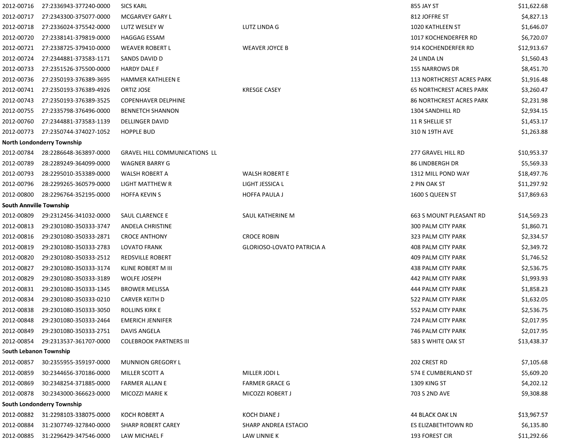| 2012-00716                     | 27:2336943-377240-0000            | <b>SICS KARL</b>                     |                            | 855 JAY ST                       | \$11,622.68 |
|--------------------------------|-----------------------------------|--------------------------------------|----------------------------|----------------------------------|-------------|
| 2012-00717                     | 27:2343300-375077-0000            | MCGARVEY GARY L                      |                            | 812 JOFFRE ST                    | \$4,827.13  |
| 2012-00718                     | 27:2336024-375542-0000            | LUTZ WESLEY W                        | LUTZ LINDA G               | 1020 KATHLEEN ST                 | \$1,646.07  |
| 2012-00720                     | 27:2338141-379819-0000            | <b>HAGGAG ESSAM</b>                  |                            | 1017 KOCHENDERFER RD             | \$6,720.07  |
| 2012-00721                     | 27:2338725-379410-0000            | <b>WEAVER ROBERT L</b>               | <b>WEAVER JOYCE B</b>      | 914 KOCHENDERFER RD              | \$12,913.67 |
| 2012-00724                     | 27:2344881-373583-1171            | SANDS DAVID D                        |                            | 24 LINDA LN                      | \$1,560.43  |
| 2012-00733                     | 27:2351526-375500-0000            | <b>HARDY DALE F</b>                  |                            | 155 NARROWS DR                   | \$8,451.70  |
| 2012-00736                     | 27:2350193-376389-3695            | HAMMER KATHLEEN E                    |                            | <b>113 NORTHCREST ACRES PARK</b> | \$1,916.48  |
| 2012-00741                     | 27:2350193-376389-4926            | ORTIZ JOSE                           | <b>KRESGE CASEY</b>        | <b>65 NORTHCREST ACRES PARK</b>  | \$3,260.47  |
| 2012-00743                     | 27:2350193-376389-3525            | <b>COPENHAVER DELPHINE</b>           |                            | <b>86 NORTHCREST ACRES PARK</b>  | \$2,231.98  |
| 2012-00755                     | 27:2335798-376496-0000            | <b>BENNETCH SHANNON</b>              |                            | 1304 SANDHILL RD                 | \$2,934.15  |
| 2012-00760                     | 27:2344881-373583-1139            | <b>DELLINGER DAVID</b>               |                            | 11 R SHELLIE ST                  | \$1,453.17  |
| 2012-00773                     | 27:2350744-374027-1052            | <b>HOPPLE BUD</b>                    |                            | 310 N 19TH AVE                   | \$1,263.88  |
|                                | <b>North Londonderry Township</b> |                                      |                            |                                  |             |
| 2012-00784                     | 28:2286648-363897-0000            | <b>GRAVEL HILL COMMUNICATIONS LL</b> |                            | 277 GRAVEL HILL RD               | \$10,953.37 |
| 2012-00789                     | 28:2289249-364099-0000            | <b>WAGNER BARRY G</b>                |                            | <b>86 LINDBERGH DR</b>           | \$5,569.33  |
| 2012-00793                     | 28:2295010-353389-0000            | WALSH ROBERT A                       | <b>WALSH ROBERT E</b>      | 1312 MILL POND WAY               | \$18,497.76 |
| 2012-00796                     | 28:2299265-360579-0000            | LIGHT MATTHEW R                      | LIGHT JESSICA L            | 2 PIN OAK ST                     | \$11,297.92 |
| 2012-00800                     | 28:2296764-352195-0000            | <b>HOFFA KEVIN S</b>                 | <b>HOFFA PAULA J</b>       | 1600 S QUEEN ST                  | \$17,869.63 |
| <b>South Annville Township</b> |                                   |                                      |                            |                                  |             |
| 2012-00809                     | 29:2312456-341032-0000            | SAUL CLARENCE E                      | SAUL KATHERINE M           | 663 S MOUNT PLEASANT RD          | \$14,569.23 |
| 2012-00813                     | 29:2301080-350333-3747            | ANDELA CHRISTINE                     |                            | <b>300 PALM CITY PARK</b>        | \$1,860.71  |
| 2012-00816                     | 29:2301080-350333-2871            | <b>CROCE ANTHONY</b>                 | <b>CROCE ROBIN</b>         | 323 PALM CITY PARK               | \$2,334.57  |
| 2012-00819                     | 29:2301080-350333-2783            | LOVATO FRANK                         | GLORIOSO-LOVATO PATRICIA A | 408 PALM CITY PARK               | \$2,349.72  |
| 2012-00820                     | 29:2301080-350333-2512            | REDSVILLE ROBERT                     |                            | 409 PALM CITY PARK               | \$1,746.52  |
| 2012-00827                     | 29:2301080-350333-3174            | KLINE ROBERT M III                   |                            | 438 PALM CITY PARK               | \$2,536.75  |
| 2012-00829                     | 29:2301080-350333-3189            | <b>WOLFE JOSEPH</b>                  |                            | 442 PALM CITY PARK               | \$1,993.93  |
| 2012-00831                     | 29:2301080-350333-1345            | <b>BROWER MELISSA</b>                |                            | 444 PALM CITY PARK               | \$1,858.23  |
| 2012-00834                     | 29:2301080-350333-0210            | <b>CARVER KEITH D</b>                |                            | 522 PALM CITY PARK               | \$1,632.05  |
| 2012-00838                     | 29:2301080-350333-3050            | ROLLINS KIRK E                       |                            | 552 PALM CITY PARK               | \$2,536.75  |
| 2012-00848                     | 29:2301080-350333-2464            | <b>EMERICH JENNIFER</b>              |                            | 724 PALM CITY PARK               | \$2,017.95  |
| 2012-00849                     | 29:2301080-350333-2751            | DAVIS ANGELA                         |                            | 746 PALM CITY PARK               | \$2,017.95  |
| 2012-00854                     | 29:2313537-361707-0000            | <b>COLEBROOK PARTNERS III</b>        |                            | 583 S WHITE OAK ST               | \$13,438.37 |
| South Lebanon Township         |                                   |                                      |                            |                                  |             |
| 2012-00857                     | 30:2355955-359197-0000            | <b>MUNNION GREGORY L</b>             |                            | 202 CREST RD                     | \$7,105.68  |
| 2012-00859                     | 30:2344656-370186-0000            | MILLER SCOTT A                       | MILLER JODI L              | 574 E CUMBERLAND ST              | \$5,609.20  |
| 2012-00869                     | 30:2348254-371885-0000            | <b>FARMER ALLAN E</b>                | <b>FARMER GRACE G</b>      | 1309 KING ST                     | \$4,202.12  |
| 2012-00878                     | 30:2343000-366623-0000            | MICOZZI MARIE K                      | MICOZZI ROBERT J           | 703 S 2ND AVE                    | \$9,308.88  |
|                                | South Londonderry Township        |                                      |                            |                                  |             |
| 2012-00882                     | 31:2298103-338075-0000            | <b>KOCH ROBERT A</b>                 | KOCH DIANE J               | 44 BLACK OAK LN                  | \$13,967.57 |
| 2012-00884                     | 31:2307749-327840-0000            | <b>SHARP ROBERT CAREY</b>            | SHARP ANDREA ESTACIO       | ES ELIZABETHTOWN RD              | \$6,135.80  |
| 2012-00885                     | 31:2296429-347546-0000            | LAW MICHAEL F                        | LAW LINNIE K               | 193 FOREST CIR                   | \$11,292.66 |